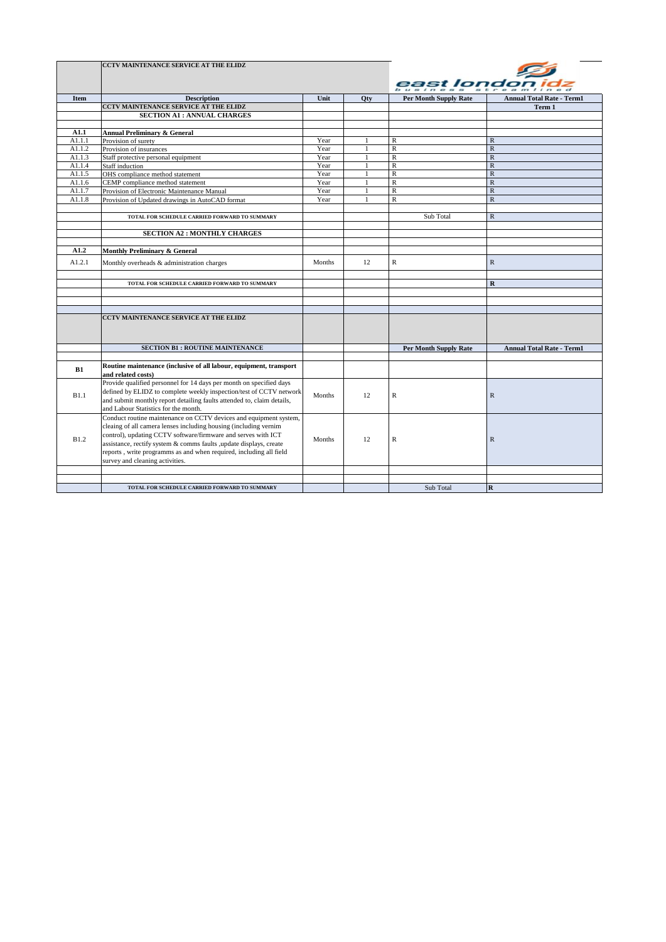|             | <b>CCTV MAINTENANCE SERVICE AT THE ELIDZ</b>                                                          |        |              |                              |                                  |
|-------------|-------------------------------------------------------------------------------------------------------|--------|--------------|------------------------------|----------------------------------|
|             |                                                                                                       |        |              |                              |                                  |
|             |                                                                                                       |        |              |                              |                                  |
| <b>Item</b> | <b>Description</b>                                                                                    | Unit   | Otv          | <b>Per Month Supply Rate</b> | <b>Annual Total Rate - Term1</b> |
|             | CCTV MAINTENANCE SERVICE AT THE ELIDZ                                                                 |        |              |                              | Term 1                           |
|             | <b>SECTION A1: ANNUAL CHARGES</b>                                                                     |        |              |                              |                                  |
|             |                                                                                                       |        |              |                              |                                  |
| A1.1        | <b>Annual Preliminary &amp; General</b>                                                               |        |              |                              |                                  |
| A1.1.1      | Provision of surety                                                                                   | Year   | 1            | R                            | $\mathbb{R}$                     |
| A1.1.2      | Provision of insurances                                                                               | Year   |              | $\mathbb R$                  | ${\mathbb R}$                    |
| A1.1.3      | Staff protective personal equipment                                                                   | Year   |              | $\mathbb R$                  | ${\mathbb R}$                    |
| A1.1.4      | Staff induction                                                                                       | Year   | $\mathbf{1}$ | $\overline{R}$               | $\overline{R}$                   |
| A1.1.5      | OHS compliance method statement                                                                       | Year   | $\mathbf{1}$ | $\overline{\mathbf{R}}$      | ${\bf R}$                        |
| A1.1.6      | CEMP compliance method statement                                                                      | Year   | 1            | $\overline{\mathbf{R}}$      | $\overline{R}$                   |
| A1.1.7      | Provision of Electronic Maintenance Manual                                                            | Year   | $\mathbf{1}$ | $\overline{R}$               | $\overline{R}$                   |
| A1.1.8      | Provision of Updated drawings in AutoCAD format                                                       | Year   | $\mathbf{1}$ | $\overline{\mathbf{R}}$      | $\overline{\mathbf{R}}$          |
|             |                                                                                                       |        |              |                              |                                  |
|             | TOTAL FOR SCHEDULE CARRIED FORWARD TO SUMMARY                                                         |        |              | Sub Total                    | $\mathbb{R}$                     |
|             |                                                                                                       |        |              |                              |                                  |
|             | <b>SECTION A2: MONTHLY CHARGES</b>                                                                    |        |              |                              |                                  |
|             |                                                                                                       |        |              |                              |                                  |
| A1.2        | Monthly Preliminary & General                                                                         |        |              |                              |                                  |
|             |                                                                                                       |        |              |                              |                                  |
| A1.2.1      | Monthly overheads & administration charges                                                            | Months | 12           | $\mathbb{R}$                 | $\mathbb{R}$                     |
|             |                                                                                                       |        |              |                              |                                  |
|             | TOTAL FOR SCHEDULE CARRIED FORWARD TO SUMMARY                                                         |        |              |                              | $\mathbf R$                      |
|             |                                                                                                       |        |              |                              |                                  |
|             |                                                                                                       |        |              |                              |                                  |
|             |                                                                                                       |        |              |                              |                                  |
|             | <b>CCTV MAINTENANCE SERVICE AT THE ELIDZ</b>                                                          |        |              |                              |                                  |
|             |                                                                                                       |        |              |                              |                                  |
|             |                                                                                                       |        |              |                              |                                  |
|             | <b>SECTION B1: ROUTINE MAINTENANCE</b>                                                                |        |              | <b>Per Month Supply Rate</b> | <b>Annual Total Rate - Term1</b> |
|             |                                                                                                       |        |              |                              |                                  |
|             | Routine maintenance (inclusive of all labour, equipment, transport                                    |        |              |                              |                                  |
| B1          | and related costs)                                                                                    |        |              |                              |                                  |
|             | Provide qualified personnel for 14 days per month on specified days                                   |        |              |                              |                                  |
|             | defined by ELIDZ to complete weekly inspection/test of CCTV network                                   |        |              |                              |                                  |
| B1.1        | and submit monthly report detailing faults attended to, claim details,                                | Months | 12           | R                            | ${\mathbb R}$                    |
|             | and Labour Statistics for the month.                                                                  |        |              |                              |                                  |
|             | Conduct routine maintenance on CCTV devices and equipment system,                                     |        |              |                              |                                  |
|             | cleaing of all camera lenses including housing (including vernim                                      |        |              |                              |                                  |
| <b>B1.2</b> | control), updating CCTV software/firmware and serves with ICT                                         | Months | 12           |                              |                                  |
|             | assistance, rectify system & comms faults , update displays, create                                   |        |              | ${\mathbb R}$                | $\mathbb{R}$                     |
|             |                                                                                                       |        |              |                              |                                  |
|             | reports, write programms as and when required, including all field<br>survey and cleaning activities. |        |              |                              |                                  |
|             |                                                                                                       |        |              |                              |                                  |
|             |                                                                                                       |        |              |                              |                                  |
|             |                                                                                                       |        |              |                              |                                  |
|             | TOTAL FOR SCHEDULE CARRIED FORWARD TO SUMMARY                                                         |        |              | Sub Total                    | R                                |